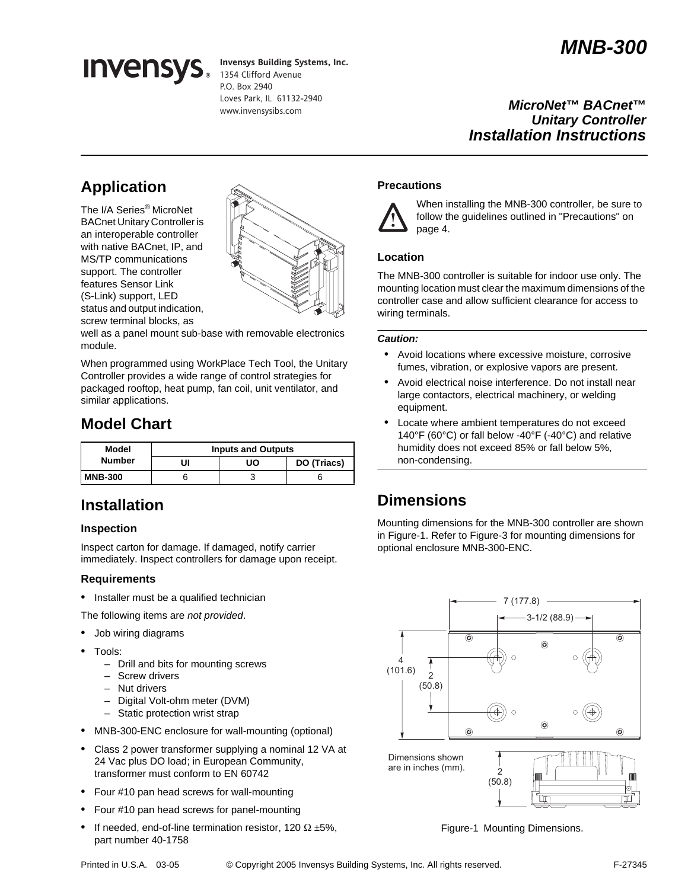# *MNB-300*



**Invensys Building Systems, Inc.** 1354 Clifford Avenue P.O. Box 2940 Loves Park, IL 61132-2940 www.invensysibs.com

*MicroNet***™** *BACnet***™** *Unitary Controller Installation Instructions*

## **Application**

The I/A Series® MicroNet BACnet Unitary Controller is an interoperable controller with native BACnet, IP, and MS/TP communications support. The controller features Sensor Link (S-Link) support, LED status and output indication, screw terminal blocks, as



well as a panel mount sub-base with removable electronics module.

When programmed using WorkPlace Tech Tool, the Unitary Controller provides a wide range of control strategies for packaged rooftop, heat pump, fan coil, unit ventilator, and similar applications.

## **Model Chart**

| Model<br><b>Number</b> | <b>Inputs and Outputs</b> |    |             |
|------------------------|---------------------------|----|-------------|
|                        | UI                        | UΟ | DO (Triacs) |
| <b>MNB-300</b>         |                           |    |             |

## **Installation**

### **Inspection**

Inspect carton for damage. If damaged, notify carrier immediately. Inspect controllers for damage upon receipt.

### **Requirements**

• Installer must be a qualified technician

The following items are *not provided*.

- Job wiring diagrams
- Tools:
	- Drill and bits for mounting screws
	- Screw drivers
	- Nut drivers
	- Digital Volt-ohm meter (DVM)
	- Static protection wrist strap
- MNB-300-ENC enclosure for wall-mounting (optional)
- Class 2 power transformer supplying a nominal 12 VA at 24 Vac plus DO load; in European Community, transformer must conform to EN 60742
- Four #10 pan head screws for wall-mounting
- Four #10 pan head screws for panel-mounting
- If needed, end-of-line termination resistor, 120  $\Omega$  ±5%, part number 40-1758

## **Precautions**



When installing the MNB-300 controller, be sure to follow the guidelines outlined in "Precautions" on page 4.

## **Location**

The MNB-300 controller is suitable for indoor use only. The mounting location must clear the maximum dimensions of the controller case and allow sufficient clearance for access to wiring terminals.

### *Caution:*

- Avoid locations where excessive moisture, corrosive fumes, vibration, or explosive vapors are present.
- Avoid electrical noise interference. Do not install near large contactors, electrical machinery, or welding equipment.
- Locate where ambient temperatures do not exceed 140°F (60°C) or fall below -40°F (-40°C) and relative humidity does not exceed 85% or fall below 5%, non-condensing.

## **Dimensions**

Mounting dimensions for the MNB-300 controller are shown in Figure-1. Refer to Figure-3 for mounting dimensions for optional enclosure MNB-300-ENC.



Figure-1 Mounting Dimensions.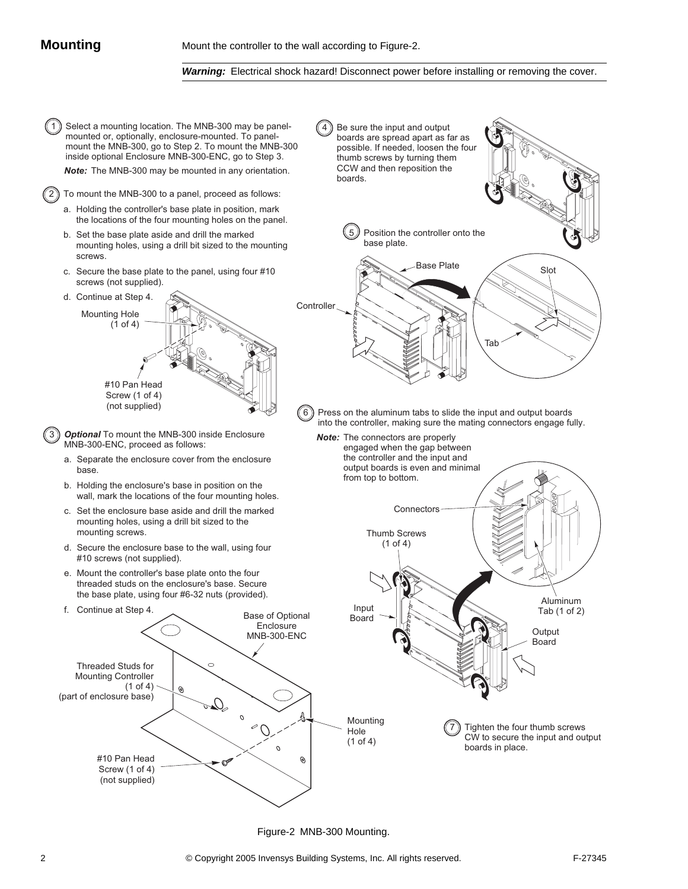#### *Warning:* Electrical shock hazard! Disconnect power before installing or removing the cover.



Figure-2 MNB-300 Mounting.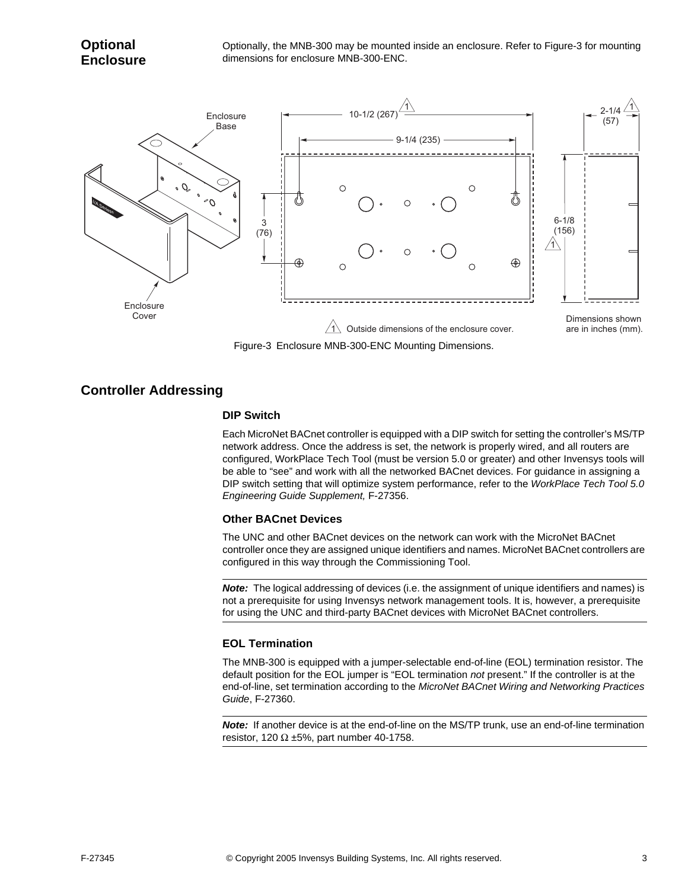Optionally, the MNB-300 may be mounted inside an enclosure. Refer to Figure-3 for mounting dimensions for enclosure MNB-300-ENC.



Figure-3 Enclosure MNB-300-ENC Mounting Dimensions.

## **Controller Addressing**

### **DIP Switch**

Each MicroNet BACnet controller is equipped with a DIP switch for setting the controller's MS/TP network address. Once the address is set, the network is properly wired, and all routers are configured, WorkPlace Tech Tool (must be version 5.0 or greater) and other Invensys tools will be able to "see" and work with all the networked BACnet devices. For guidance in assigning a DIP switch setting that will optimize system performance, refer to the *WorkPlace Tech Tool 5.0 Engineering Guide Supplement,* F-27356.

### **Other BACnet Devices**

The UNC and other BACnet devices on the network can work with the MicroNet BACnet controller once they are assigned unique identifiers and names. MicroNet BACnet controllers are configured in this way through the Commissioning Tool.

*Note:* The logical addressing of devices (i.e. the assignment of unique identifiers and names) is not a prerequisite for using Invensys network management tools. It is, however, a prerequisite for using the UNC and third-party BACnet devices with MicroNet BACnet controllers.

### **EOL Termination**

The MNB-300 is equipped with a jumper-selectable end-of-line (EOL) termination resistor. The default position for the EOL jumper is "EOL termination *not* present." If the controller is at the end-of-line, set termination according to the *MicroNet BACnet Wiring and Networking Practices Guide*, F-27360.

*Note:* If another device is at the end-of-line on the MS/TP trunk, use an end-of-line termination resistor, 120  $\Omega$  ±5%, part number 40-1758.